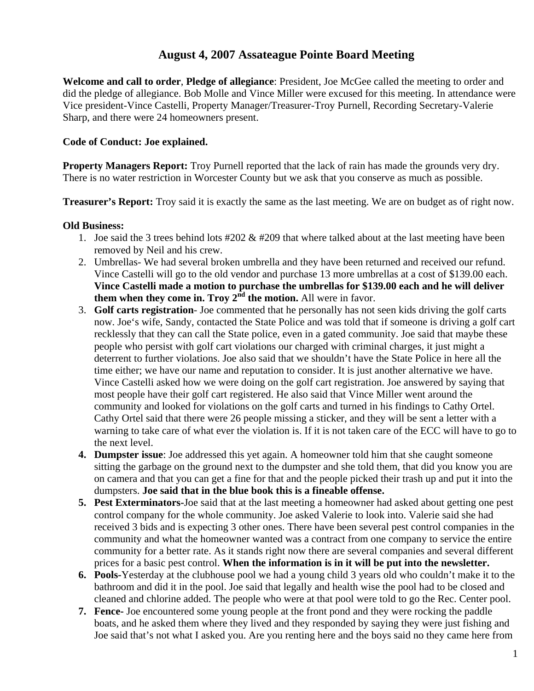## **August 4, 2007 Assateague Pointe Board Meeting**

**Welcome and call to order**, **Pledge of allegiance**: President, Joe McGee called the meeting to order and did the pledge of allegiance. Bob Molle and Vince Miller were excused for this meeting. In attendance were Vice president-Vince Castelli, Property Manager/Treasurer-Troy Purnell, Recording Secretary-Valerie Sharp, and there were 24 homeowners present.

## **Code of Conduct: Joe explained.**

**Property Managers Report:** Troy Purnell reported that the lack of rain has made the grounds very dry. There is no water restriction in Worcester County but we ask that you conserve as much as possible.

**Treasurer's Report:** Troy said it is exactly the same as the last meeting. We are on budget as of right now.

## **Old Business:**

- 1. Joe said the 3 trees behind lots  $\#202 \& \#209$  that where talked about at the last meeting have been removed by Neil and his crew.
- 2. Umbrellas- We had several broken umbrella and they have been returned and received our refund. Vince Castelli will go to the old vendor and purchase 13 more umbrellas at a cost of \$139.00 each. **Vince Castelli made a motion to purchase the umbrellas for \$139.00 each and he will deliver them when they come in. Troy**  $2<sup>nd</sup>$  **the motion.** All were in favor.
- 3. **Golf carts registration** Joe commented that he personally has not seen kids driving the golf carts now. Joe's wife, Sandy, contacted the State Police and was told that if someone is driving a golf cart recklessly that they can call the State police, even in a gated community. Joe said that maybe these people who persist with golf cart violations our charged with criminal charges, it just might a deterrent to further violations. Joe also said that we shouldn't have the State Police in here all the time either; we have our name and reputation to consider. It is just another alternative we have. Vince Castelli asked how we were doing on the golf cart registration. Joe answered by saying that most people have their golf cart registered. He also said that Vince Miller went around the community and looked for violations on the golf carts and turned in his findings to Cathy Ortel. Cathy Ortel said that there were 26 people missing a sticker, and they will be sent a letter with a warning to take care of what ever the violation is. If it is not taken care of the ECC will have to go to the next level.
- **4. Dumpster issue**: Joe addressed this yet again. A homeowner told him that she caught someone sitting the garbage on the ground next to the dumpster and she told them, that did you know you are on camera and that you can get a fine for that and the people picked their trash up and put it into the dumpsters. **Joe said that in the blue book this is a fineable offense.**
- **5. Pest Exterminators-**Joe said that at the last meeting a homeowner had asked about getting one pest control company for the whole community. Joe asked Valerie to look into. Valerie said she had received 3 bids and is expecting 3 other ones. There have been several pest control companies in the community and what the homeowner wanted was a contract from one company to service the entire community for a better rate. As it stands right now there are several companies and several different prices for a basic pest control. **When the information is in it will be put into the newsletter.**
- **6. Pools-**Yesterday at the clubhouse pool we had a young child 3 years old who couldn't make it to the bathroom and did it in the pool. Joe said that legally and health wise the pool had to be closed and cleaned and chlorine added. The people who were at that pool were told to go the Rec. Center pool.
- **7. Fence-** Joe encountered some young people at the front pond and they were rocking the paddle boats, and he asked them where they lived and they responded by saying they were just fishing and Joe said that's not what I asked you. Are you renting here and the boys said no they came here from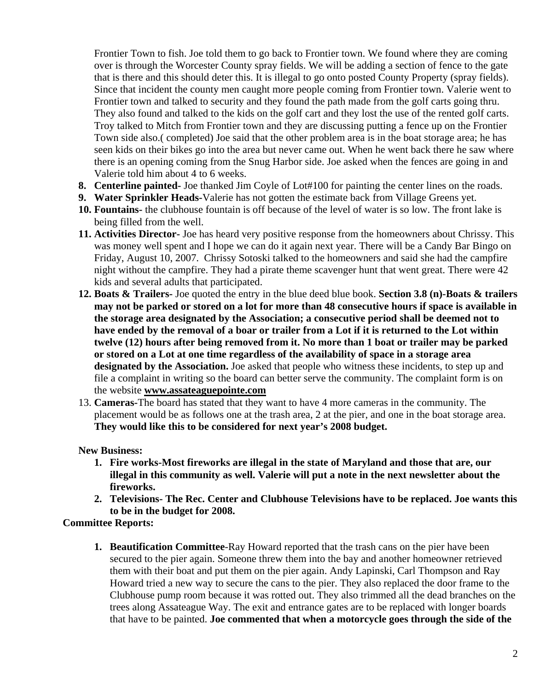Frontier Town to fish. Joe told them to go back to Frontier town. We found where they are coming over is through the Worcester County spray fields. We will be adding a section of fence to the gate that is there and this should deter this. It is illegal to go onto posted County Property (spray fields). Since that incident the county men caught more people coming from Frontier town. Valerie went to Frontier town and talked to security and they found the path made from the golf carts going thru. They also found and talked to the kids on the golf cart and they lost the use of the rented golf carts. Troy talked to Mitch from Frontier town and they are discussing putting a fence up on the Frontier Town side also.( completed) Joe said that the other problem area is in the boat storage area; he has seen kids on their bikes go into the area but never came out. When he went back there he saw where there is an opening coming from the Snug Harbor side. Joe asked when the fences are going in and Valerie told him about 4 to 6 weeks.

- **8. Centerline painted-** Joe thanked Jim Coyle of Lot#100 for painting the center lines on the roads.
- **9. Water Sprinkler Heads-**Valerie has not gotten the estimate back from Village Greens yet.
- **10. Fountains-** the clubhouse fountain is off because of the level of water is so low. The front lake is being filled from the well.
- **11. Activities Director-** Joe has heard very positive response from the homeowners about Chrissy. This was money well spent and I hope we can do it again next year. There will be a Candy Bar Bingo on Friday, August 10, 2007. Chrissy Sotoski talked to the homeowners and said she had the campfire night without the campfire. They had a pirate theme scavenger hunt that went great. There were 42 kids and several adults that participated.
- **12. Boats & Trailers-** Joe quoted the entry in the blue deed blue book. **Section 3.8 (n)-Boats & trailers may not be parked or stored on a lot for more than 48 consecutive hours if space is available in the storage area designated by the Association; a consecutive period shall be deemed not to have ended by the removal of a boar or trailer from a Lot if it is returned to the Lot within twelve (12) hours after being removed from it. No more than 1 boat or trailer may be parked or stored on a Lot at one time regardless of the availability of space in a storage area designated by the Association.** Joe asked that people who witness these incidents, to step up and file a complaint in writing so the board can better serve the community. The complaint form is on the website **[www.assateaguepointe.com](http://www.assateaguepointe.com/)**
- 13. **Cameras-**The board has stated that they want to have 4 more cameras in the community. The placement would be as follows one at the trash area, 2 at the pier, and one in the boat storage area. **They would like this to be considered for next year's 2008 budget.**

**New Business:** 

- **1. Fire works-Most fireworks are illegal in the state of Maryland and those that are, our illegal in this community as well. Valerie will put a note in the next newsletter about the fireworks.**
- **2. Televisions- The Rec. Center and Clubhouse Televisions have to be replaced. Joe wants this to be in the budget for 2008.**

**Committee Reports:**

**1. Beautification Committee**-Ray Howard reported that the trash cans on the pier have been secured to the pier again. Someone threw them into the bay and another homeowner retrieved them with their boat and put them on the pier again. Andy Lapinski, Carl Thompson and Ray Howard tried a new way to secure the cans to the pier. They also replaced the door frame to the Clubhouse pump room because it was rotted out. They also trimmed all the dead branches on the trees along Assateague Way. The exit and entrance gates are to be replaced with longer boards that have to be painted. **Joe commented that when a motorcycle goes through the side of the**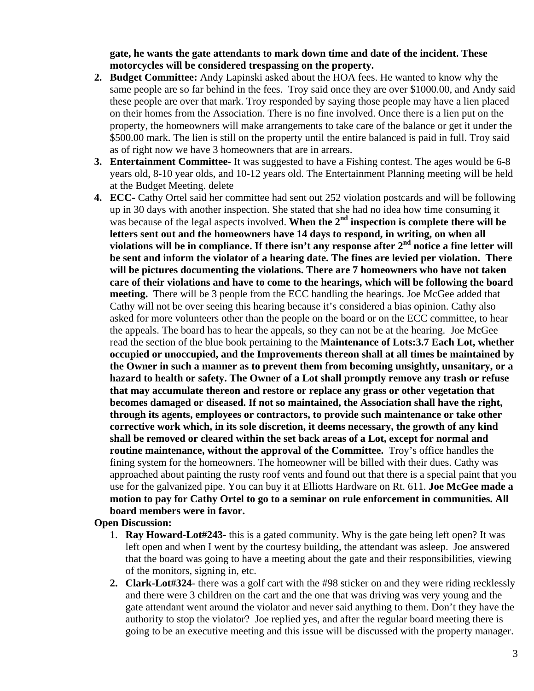**gate, he wants the gate attendants to mark down time and date of the incident. These motorcycles will be considered trespassing on the property.** 

- **2. Budget Committee:** Andy Lapinski asked about the HOA fees. He wanted to know why the same people are so far behind in the fees. Troy said once they are over \$1000.00, and Andy said these people are over that mark. Troy responded by saying those people may have a lien placed on their homes from the Association. There is no fine involved. Once there is a lien put on the property, the homeowners will make arrangements to take care of the balance or get it under the \$500.00 mark. The lien is still on the property until the entire balanced is paid in full. Troy said as of right now we have 3 homeowners that are in arrears.
- **3. Entertainment Committee-** It was suggested to have a Fishing contest. The ages would be 6-8 years old, 8-10 year olds, and 10-12 years old. The Entertainment Planning meeting will be held at the Budget Meeting. delete
- **4. ECC-** Cathy Ortel said her committee had sent out 252 violation postcards and will be following up in 30 days with another inspection. She stated that she had no idea how time consuming it was because of the legal aspects involved. When the 2<sup>nd</sup> inspection is complete there will be **letters sent out and the homeowners have 14 days to respond, in writing, on when all**  violations will be in compliance. If there isn't any response after 2<sup>nd</sup> notice a fine letter will **be sent and inform the violator of a hearing date. The fines are levied per violation. There will be pictures documenting the violations. There are 7 homeowners who have not taken care of their violations and have to come to the hearings, which will be following the board meeting.** There will be 3 people from the ECC handling the hearings. Joe McGee added that Cathy will not be over seeing this hearing because it's considered a bias opinion. Cathy also asked for more volunteers other than the people on the board or on the ECC committee, to hear the appeals. The board has to hear the appeals, so they can not be at the hearing. Joe McGee read the section of the blue book pertaining to the **Maintenance of Lots:3.7 Each Lot, whether occupied or unoccupied, and the Improvements thereon shall at all times be maintained by the Owner in such a manner as to prevent them from becoming unsightly, unsanitary, or a hazard to health or safety. The Owner of a Lot shall promptly remove any trash or refuse that may accumulate thereon and restore or replace any grass or other vegetation that becomes damaged or diseased. If not so maintained, the Association shall have the right, through its agents, employees or contractors, to provide such maintenance or take other corrective work which, in its sole discretion, it deems necessary, the growth of any kind shall be removed or cleared within the set back areas of a Lot, except for normal and routine maintenance, without the approval of the Committee.** Troy's office handles the fining system for the homeowners. The homeowner will be billed with their dues. Cathy was approached about painting the rusty roof vents and found out that there is a special paint that you use for the galvanized pipe. You can buy it at Elliotts Hardware on Rt. 611. **Joe McGee made a motion to pay for Cathy Ortel to go to a seminar on rule enforcement in communities. All board members were in favor.**

## **Open Discussion:**

- 1. **Ray Howard-Lot#243** this is a gated community. Why is the gate being left open? It was left open and when I went by the courtesy building, the attendant was asleep. Joe answered that the board was going to have a meeting about the gate and their responsibilities, viewing of the monitors, signing in, etc.
- **2. Clark-Lot#324** there was a golf cart with the #98 sticker on and they were riding recklessly and there were 3 children on the cart and the one that was driving was very young and the gate attendant went around the violator and never said anything to them. Don't they have the authority to stop the violator? Joe replied yes, and after the regular board meeting there is going to be an executive meeting and this issue will be discussed with the property manager.